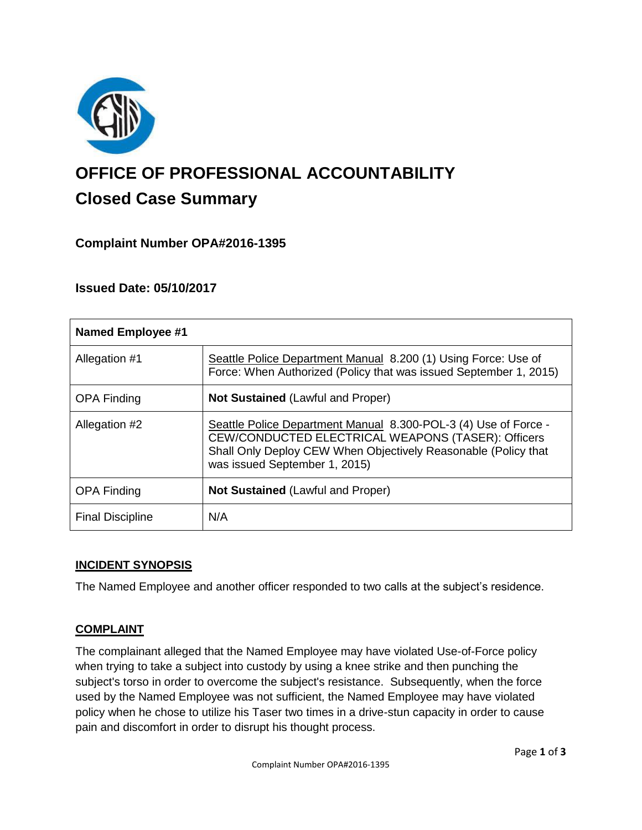

# **OFFICE OF PROFESSIONAL ACCOUNTABILITY Closed Case Summary**

## **Complaint Number OPA#2016-1395**

## **Issued Date: 05/10/2017**

| <b>Named Employee #1</b> |                                                                                                                                                                                                                          |
|--------------------------|--------------------------------------------------------------------------------------------------------------------------------------------------------------------------------------------------------------------------|
| Allegation #1            | Seattle Police Department Manual 8.200 (1) Using Force: Use of<br>Force: When Authorized (Policy that was issued September 1, 2015)                                                                                      |
| <b>OPA Finding</b>       | <b>Not Sustained (Lawful and Proper)</b>                                                                                                                                                                                 |
| Allegation #2            | Seattle Police Department Manual 8.300-POL-3 (4) Use of Force -<br>CEW/CONDUCTED ELECTRICAL WEAPONS (TASER): Officers<br>Shall Only Deploy CEW When Objectively Reasonable (Policy that<br>was issued September 1, 2015) |
| <b>OPA Finding</b>       | Not Sustained (Lawful and Proper)                                                                                                                                                                                        |
| <b>Final Discipline</b>  | N/A                                                                                                                                                                                                                      |

## **INCIDENT SYNOPSIS**

The Named Employee and another officer responded to two calls at the subject's residence.

#### **COMPLAINT**

The complainant alleged that the Named Employee may have violated Use-of-Force policy when trying to take a subject into custody by using a knee strike and then punching the subject's torso in order to overcome the subject's resistance. Subsequently, when the force used by the Named Employee was not sufficient, the Named Employee may have violated policy when he chose to utilize his Taser two times in a drive-stun capacity in order to cause pain and discomfort in order to disrupt his thought process.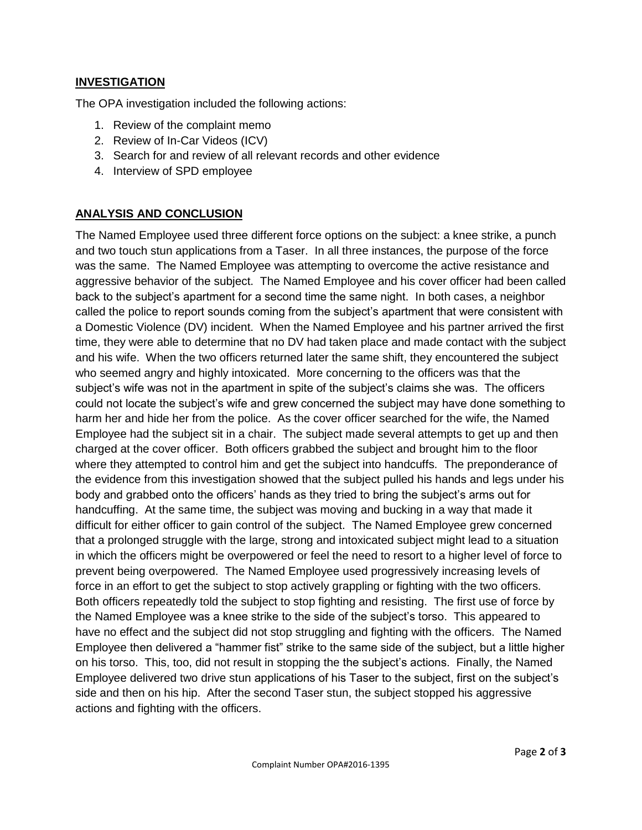#### **INVESTIGATION**

The OPA investigation included the following actions:

- 1. Review of the complaint memo
- 2. Review of In-Car Videos (ICV)
- 3. Search for and review of all relevant records and other evidence
- 4. Interview of SPD employee

## **ANALYSIS AND CONCLUSION**

The Named Employee used three different force options on the subject: a knee strike, a punch and two touch stun applications from a Taser. In all three instances, the purpose of the force was the same. The Named Employee was attempting to overcome the active resistance and aggressive behavior of the subject. The Named Employee and his cover officer had been called back to the subject's apartment for a second time the same night. In both cases, a neighbor called the police to report sounds coming from the subject's apartment that were consistent with a Domestic Violence (DV) incident. When the Named Employee and his partner arrived the first time, they were able to determine that no DV had taken place and made contact with the subject and his wife. When the two officers returned later the same shift, they encountered the subject who seemed angry and highly intoxicated. More concerning to the officers was that the subject's wife was not in the apartment in spite of the subject's claims she was. The officers could not locate the subject's wife and grew concerned the subject may have done something to harm her and hide her from the police. As the cover officer searched for the wife, the Named Employee had the subject sit in a chair. The subject made several attempts to get up and then charged at the cover officer. Both officers grabbed the subject and brought him to the floor where they attempted to control him and get the subject into handcuffs. The preponderance of the evidence from this investigation showed that the subject pulled his hands and legs under his body and grabbed onto the officers' hands as they tried to bring the subject's arms out for handcuffing. At the same time, the subject was moving and bucking in a way that made it difficult for either officer to gain control of the subject. The Named Employee grew concerned that a prolonged struggle with the large, strong and intoxicated subject might lead to a situation in which the officers might be overpowered or feel the need to resort to a higher level of force to prevent being overpowered. The Named Employee used progressively increasing levels of force in an effort to get the subject to stop actively grappling or fighting with the two officers. Both officers repeatedly told the subject to stop fighting and resisting. The first use of force by the Named Employee was a knee strike to the side of the subject's torso. This appeared to have no effect and the subject did not stop struggling and fighting with the officers. The Named Employee then delivered a "hammer fist" strike to the same side of the subject, but a little higher on his torso. This, too, did not result in stopping the the subject's actions. Finally, the Named Employee delivered two drive stun applications of his Taser to the subject, first on the subject's side and then on his hip. After the second Taser stun, the subject stopped his aggressive actions and fighting with the officers.